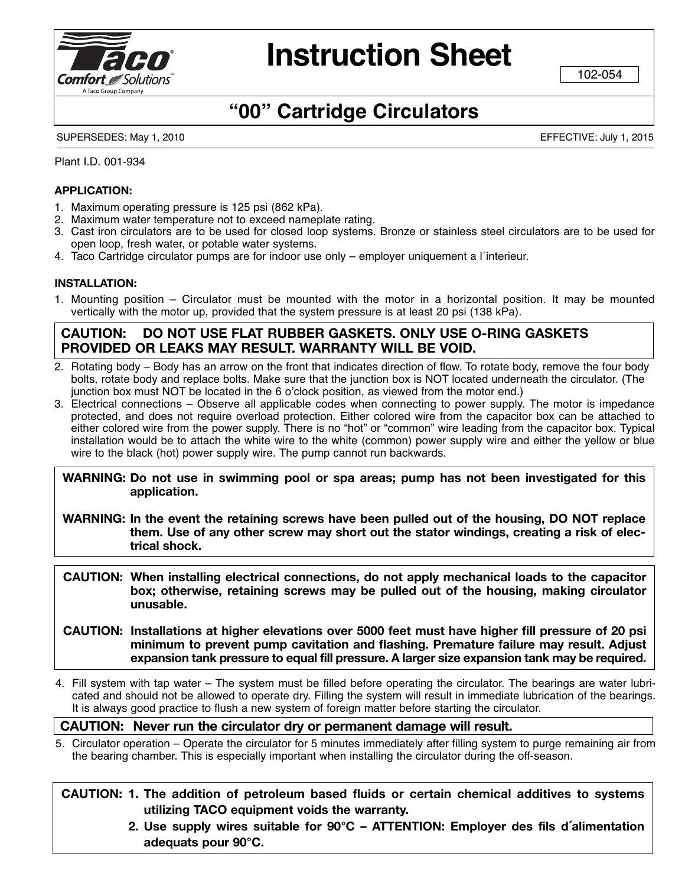

# **Instruction Sheet**

102-054

### **"00" Cartridge Circulators**

SUPERSEDES: May 1, 2010 EFFECTIVE: July 1, 2015

Plant I.D. 001-934

#### **ApplICATION:**

- 1. Maximum operating pressure is 125 psi (862 kPa).
- 2. Maximum water temperature not to exceed nameplate rating.
- 3. Cast iron circulators are to be used for closed loop systems. Bronze or stainless steel circulators are to be used for open loop, fresh water, or potable water systems.
- 4. Taco Cartridge circulator pumps are for indoor use only employer uniquement a l´interieur.

#### **INsTAllATION:**

1. Mounting position – Circulator must be mounted with the motor in a horizontal position. It may be mounted vertically with the motor up, provided that the system pressure is at least 20 psi (138 kPa).

#### **CAUTION: DO NOT Use flAT rUbber gAskeTs. ONly Use O-rINg gAskeTs prOvIDeD Or leAks mAy resUlT. WArrANTy WIll be vOID.**

- 2. Rotating body Body has an arrow on the front that indicates direction of flow. To rotate body, remove the four body bolts, rotate body and replace bolts. Make sure that the junction box is NOT located underneath the circulator. (The junction box must NOT be located in the 6 o'clock position, as viewed from the motor end.)
- 3. Electrical connections Observe all applicable codes when connecting to power supply. The motor is impedance protected, and does not require overload protection. Either colored wire from the capacitor box can be attached to either colored wire from the power supply. There is no "hot" or "common" wire leading from the capacitor box. Typical installation would be to attach the white wire to the white (common) power supply wire and either the yellow or blue wire to the black (hot) power supply wire. The pump cannot run backwards.

**WArNINg: Do not use in swimming pool or spa areas; pump has not been investigated for this application.**

- **WArNINg: In the event the retaining screws have been pulled out of the housing, DO NOT replace them. Use of any other screw may short out the stator windings, creating a risk of elec trical shock.**
- **CAUTION: When installing electrical connections, do not apply mechanical loads to the capacitor box; otherwise, retaining screws may be pulled out of the housing, making circulator unusable.**
- **CAUTION: Installations at higher elevations over 5000 feet must have higher fill pressure of 20 psi minimum to prevent pump cavitation and flashing. premature failure may result. Adjust expansion tank pressure to equal fill pressure. A larger size expansion tank may be required.**
- 4. Fill system with tap water The system must be filled before operating the circulator. The bearings are water lubri cated and should not be allowed to operate dry. Filling the system will result in immediate lubrication of the bearings. It is always good practice to flush a new system of foreign matter before starting the circulator.

#### **CAUTION: Never run the circulator dry or permanent damage will result.**

5. Circulator operation – Operate the circulator for 5 minutes immediately after filling system to purge remaining air from the bearing chamber. This is especially important when installing the circulator during the off-season.

**CAUTION: 1. The addition of petroleum based fluids or certain chemical additives to systems utilizing TACO equipment voids the warranty.**

> **2. Use supply wires suitable for 90°C – ATTeNTION: employer des fils d´alimentation adequats pour 90°C.**